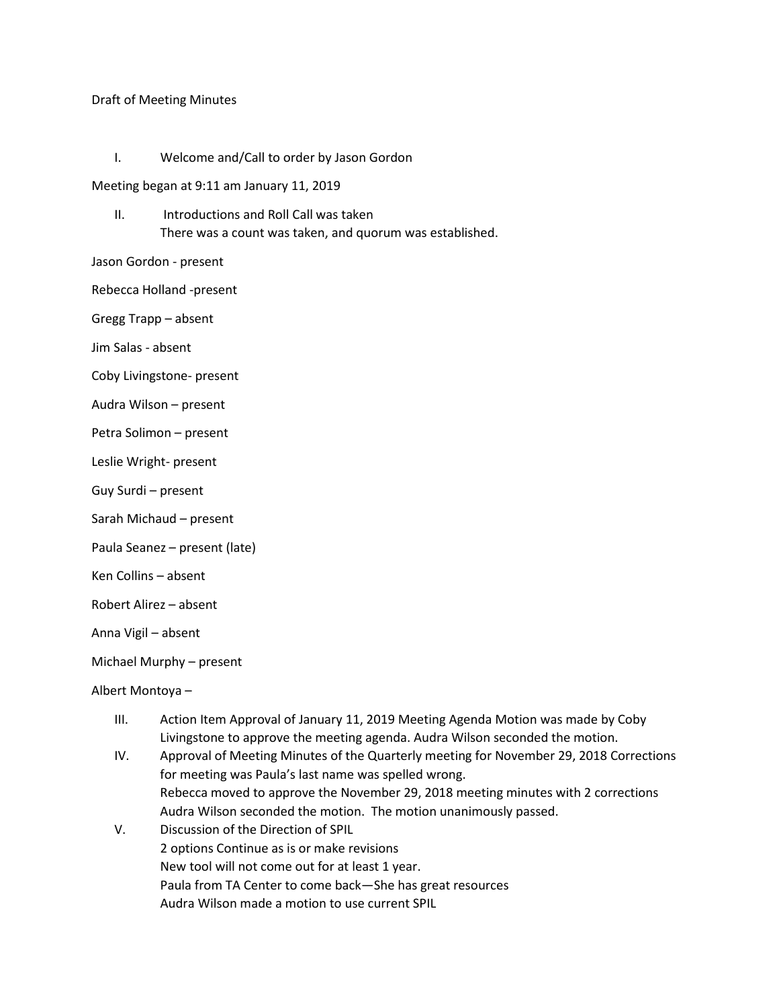## Draft of Meeting Minutes

I. Welcome and/Call to order by Jason Gordon

Meeting began at 9:11 am January 11, 2019

II. Introductions and Roll Call was taken There was a count was taken, and quorum was established.

Jason Gordon - present

Rebecca Holland -present

Gregg Trapp – absent

Jim Salas - absent

Coby Livingstone- present

Audra Wilson – present

Petra Solimon – present

Leslie Wright- present

Guy Surdi – present

Sarah Michaud – present

Paula Seanez – present (late)

Ken Collins – absent

Robert Alirez – absent

Anna Vigil – absent

Michael Murphy – present

Albert Montoya –

- III. Action Item Approval of January 11, 2019 Meeting Agenda Motion was made by Coby Livingstone to approve the meeting agenda. Audra Wilson seconded the motion.
- IV. Approval of Meeting Minutes of the Quarterly meeting for November 29, 2018 Corrections for meeting was Paula's last name was spelled wrong. Rebecca moved to approve the November 29, 2018 meeting minutes with 2 corrections Audra Wilson seconded the motion. The motion unanimously passed.
- V. Discussion of the Direction of SPIL 2 options Continue as is or make revisions New tool will not come out for at least 1 year. Paula from TA Center to come back—She has great resources Audra Wilson made a motion to use current SPIL